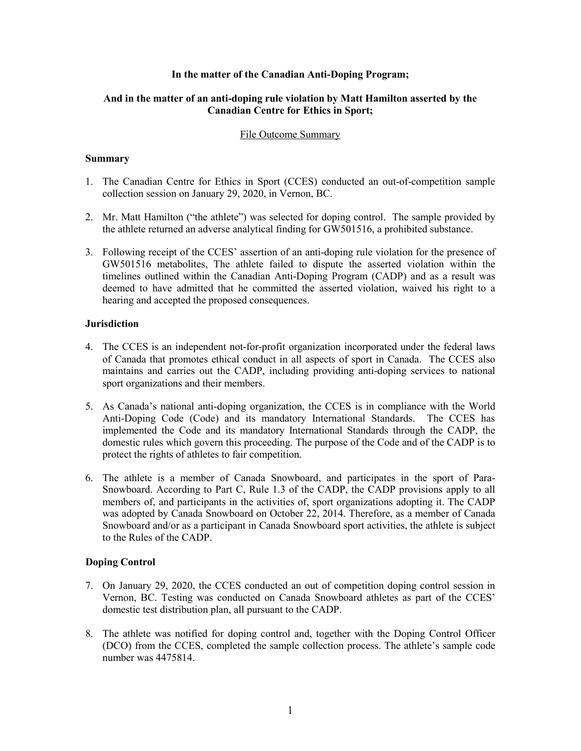### **In the matter of the Canadian Anti-Doping Program;**

# **And in the matter of an anti-doping rule violation by Matt Hamilton asserted by the Canadian Centre for Ethics in Sport;**

#### File Outcome Summary

#### **Summary**

- 1. The Canadian Centre for Ethics in Sport (CCES) conducted an out-of-competition sample collection session on January 29, 2020, in Vernon, BC.
- 2. Mr. Matt Hamilton ("the athlete") was selected for doping control. The sample provided by the athlete returned an adverse analytical finding for GW501516, a prohibited substance.
- 3. Following receipt of the CCES' assertion of an anti-doping rule violation for the presence of GW501516 metabolites, The athlete failed to dispute the asserted violation within the timelines outlined within the Canadian Anti-Doping Program (CADP) and as a result was deemed to have admitted that he committed the asserted violation, waived his right to a hearing and accepted the proposed consequences.

#### **Jurisdiction**

- 4. The CCES is an independent not-for-profit organization incorporated under the federal laws of Canada that promotes ethical conduct in all aspects of sport in Canada. The CCES also maintains and carries out the CADP, including providing anti-doping services to national sport organizations and their members.
- 5. As Canada's national anti-doping organization, the CCES is in compliance with the World Anti-Doping Code (Code) and its mandatory International Standards. The CCES has implemented the Code and its mandatory International Standards through the CADP, the domestic rules which govern this proceeding. The purpose of the Code and of the CADP is to protect the rights of athletes to fair competition.
- 6. The athlete is a member of Canada Snowboard, and participates in the sport of Para-Snowboard. According to Part C, Rule 1.3 of the CADP, the CADP provisions apply to all members of, and participants in the activities of, sport organizations adopting it. The CADP was adopted by Canada Snowboard on October 22, 2014. Therefore, as a member of Canada Snowboard and/or as a participant in Canada Snowboard sport activities, the athlete is subject to the Rules of the CADP.

# **Doping Control**

- 7. On January 29, 2020, the CCES conducted an out of competition doping control session in Vernon, BC. Testing was conducted on Canada Snowboard athletes as part of the CCES' domestic test distribution plan, all pursuant to the CADP.
- 8. The athlete was notified for doping control and, together with the Doping Control Officer (DCO) from the CCES, completed the sample collection process. The athlete's sample code number was 4475814.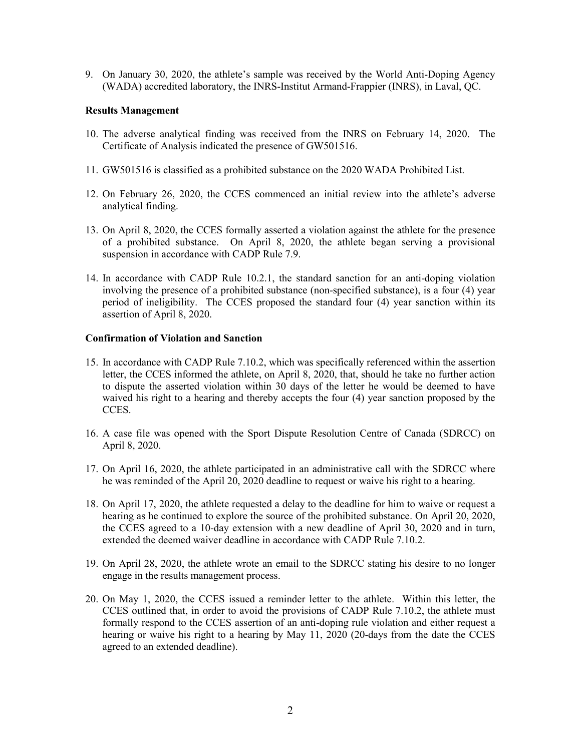9. On January 30, 2020, the athlete's sample was received by the World Anti-Doping Agency (WADA) accredited laboratory, the INRS-Institut Armand-Frappier (INRS), in Laval, QC.

### **Results Management**

- 10. The adverse analytical finding was received from the INRS on February 14, 2020. The Certificate of Analysis indicated the presence of GW501516.
- 11. GW501516 is classified as a prohibited substance on the 2020 WADA Prohibited List.
- 12. On February 26, 2020, the CCES commenced an initial review into the athlete's adverse analytical finding.
- 13. On April 8, 2020, the CCES formally asserted a violation against the athlete for the presence of a prohibited substance. On April 8, 2020, the athlete began serving a provisional suspension in accordance with CADP Rule 7.9.
- 14. In accordance with CADP Rule 10.2.1, the standard sanction for an anti-doping violation involving the presence of a prohibited substance (non-specified substance), is a four (4) year period of ineligibility. The CCES proposed the standard four (4) year sanction within its assertion of April 8, 2020.

#### **Confirmation of Violation and Sanction**

- 15. In accordance with CADP Rule 7.10.2, which was specifically referenced within the assertion letter, the CCES informed the athlete, on April 8, 2020, that, should he take no further action to dispute the asserted violation within 30 days of the letter he would be deemed to have waived his right to a hearing and thereby accepts the four (4) year sanction proposed by the CCES.
- 16. A case file was opened with the Sport Dispute Resolution Centre of Canada (SDRCC) on April 8, 2020.
- 17. On April 16, 2020, the athlete participated in an administrative call with the SDRCC where he was reminded of the April 20, 2020 deadline to request or waive his right to a hearing.
- 18. On April 17, 2020, the athlete requested a delay to the deadline for him to waive or request a hearing as he continued to explore the source of the prohibited substance. On April 20, 2020, the CCES agreed to a 10-day extension with a new deadline of April 30, 2020 and in turn, extended the deemed waiver deadline in accordance with CADP Rule 7.10.2.
- 19. On April 28, 2020, the athlete wrote an email to the SDRCC stating his desire to no longer engage in the results management process.
- 20. On May 1, 2020, the CCES issued a reminder letter to the athlete. Within this letter, the CCES outlined that, in order to avoid the provisions of CADP Rule 7.10.2, the athlete must formally respond to the CCES assertion of an anti-doping rule violation and either request a hearing or waive his right to a hearing by May 11, 2020 (20-days from the date the CCES agreed to an extended deadline).